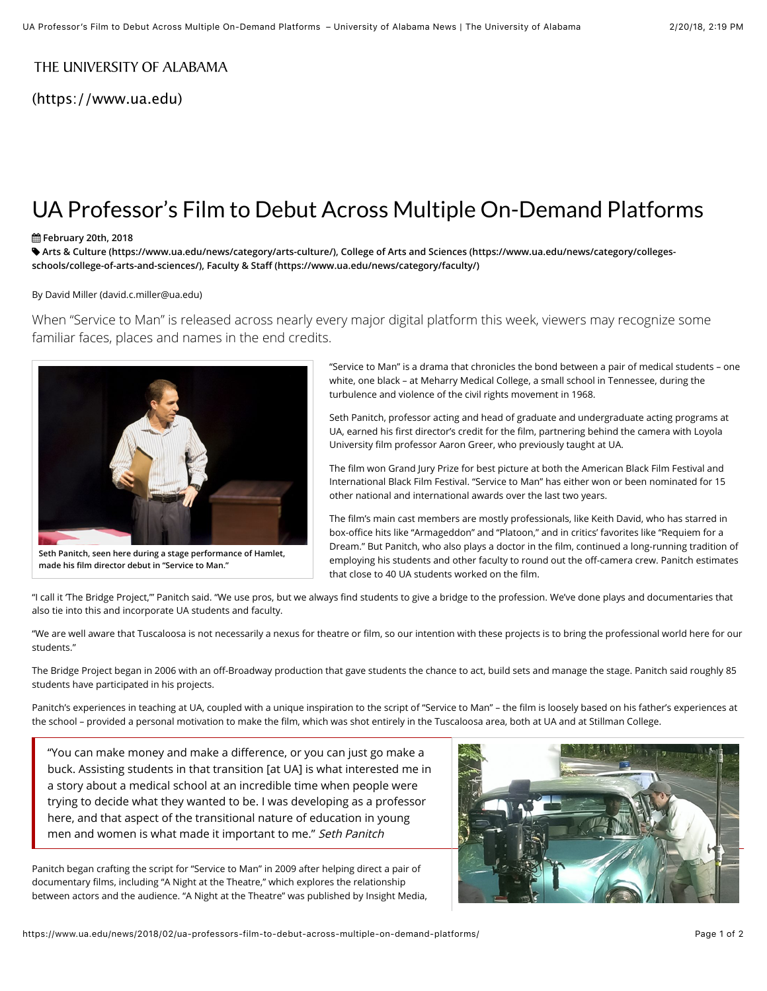## THEUNIVERSITY OF ALABAMA

(https://www.ua.edu)

# UA Professor's Film to Debut Across Multiple On-Demand Platforms

### ! **February 20th, 2018**

" **[A](https://www.ua.edu/news/category/colleges-schools/college-of-arts-and-sciences/)[rts & Culture \(https://www.ua.edu/news/category/arts-culture/](https://www.ua.edu/news/category/arts-culture/)[\), College of Arts and Sciences \(https://www.ua.edu/news/category/colleges](https://www.ua.edu/news/category/colleges-schools/college-of-arts-and-sciences/)schools/college-of-arts-and-sciences/), Faculty & Staff [\(https://www.ua.edu/news/category/faculty/\)](https://www.ua.edu/news/category/faculty/)**

#### By [David Miller \(david.c.miller@ua.edu\)](https://www.ua.edu/news/2018/02/ua-professors-film-to-debut-across-multiple-on-demand-platforms/david.c.miller@ua.edu)

When "Service to Man" is released across nearly every major digital platform this week, viewers may recognize some familiar faces, places and names in the end credits.



**Seth Panitch, seen here during a stage performance of Hamlet, made his film director debut in "Service to Man."**

"Service to Man" is a drama that chronicles the bond between a pair of medical students – one white, one black – at Meharry Medical College, a small school in Tennessee, during the turbulence and violence of the civil rights movement in 1968.

Seth Panitch, professor acting and head of graduate and undergraduate acting programs at UA, earned his first director's credit for the film, partnering behind the camera with Loyola University film professor Aaron Greer, who previously taught at UA.

The film won Grand Jury Prize for best picture at both the American Black Film Festival and International Black Film Festival. "Service to Man" has either won or been nominated for 15 other national and international awards over the last two years.

The film's main cast members are mostly professionals, like Keith David, who has starred in box-office hits like "Armageddon" and "Platoon," and in critics' favorites like "Requiem for a Dream." But Panitch, who also plays a doctor in the film, continued a long-running tradition of employing his students and other faculty to round out the off-camera crew. Panitch estimates that close to 40 UA students worked on the film.

"I call it The Bridge Project," Panitch said. "We use pros, but we always find students to give a bridge to the profession. We've done plays and documentaries that also tie into this and incorporate UA students and faculty.

"We are well aware that Tuscaloosa is not necessarily a nexus for theatre or film, so our intention with these projects is to bring the professional world here for our students."

The Bridge Project began in 2006 with an off-Broadway production that gave students the chance to act, build sets and manage the stage. Panitch said roughly 85 students have participated in his projects.

Panitch's experiences in teaching at UA, coupled with a unique inspiration to the script of "Service to Man" – the film is loosely based on his father's experiences at the school – provided a personal motivation to make the film, which was shot entirely in the Tuscaloosa area, both at UA and at Stillman College.

"You can make money and make a difference, or you can just go make a buck. Assisting students in that transition [at UA] is what interested me in a story about a medical school at an incredible time when people were trying to decide what they wanted to be. I was developing as a professor here, and that aspect of the transitional nature of education in young men and women is what made it important to me." Seth Panitch

Panitch began crafting the script for "Service to Man" in 2009 after helping direct a pair of documentary films, including "A Night at the Theatre," which explores the relationship between actors and the audience. "A Night at the Theatre" was published by Insight Media,